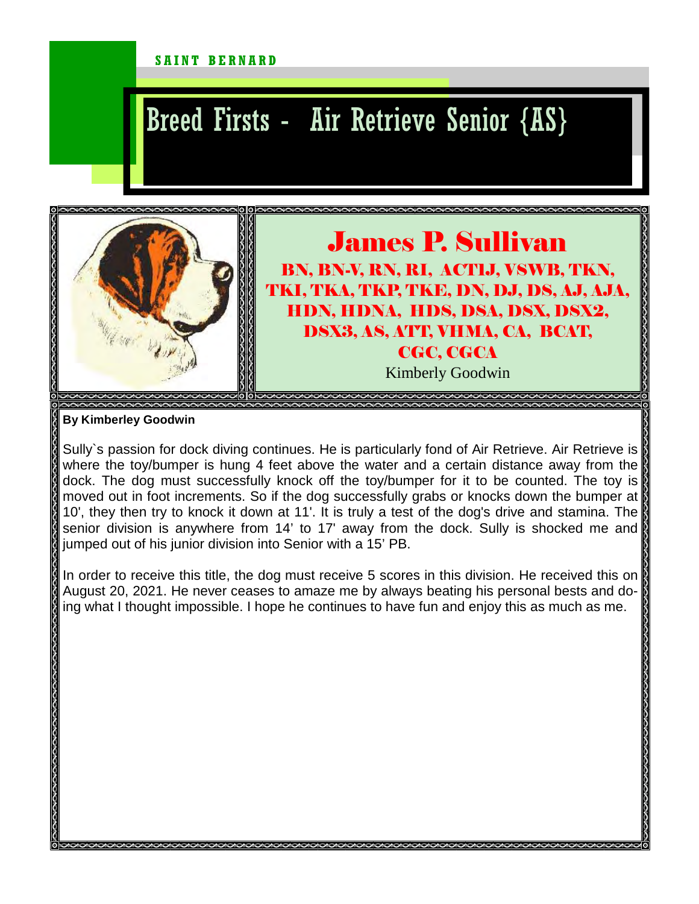## SAINT BERNARD

## Breed Firsts - Air Retrieve Senior {AS}



## James P. Sullivan BN, BN-V, RN, RI, ACT1J, VSWB, TKN, TKI, TKA, TKP, TKE, DN, DJ, DS, AJ, AJA, HDN, HDNA, HDS, DSA, DSX, DSX2, DSX3, AS, ATT, VHMA, CA, BCAT, CGC, CGCA Kimberly Goodwin

**By Kimberley Goodwin** 

Sully's passion for dock diving continues. He is particularly fond of Air Retrieve. Air Retrieve is where the toy/bumper is hung 4 feet above the water and a certain distance away from the dock. The dog must successfully knock off the toy/bumper for it to be counted. The toy is moved out in foot increments. So if the dog successfully grabs or knocks down the bumper at 10', they then try to knock it down at 11'. It is truly a test of the dog's drive and stamina. The senior division is anywhere from 14' to 17' away from the dock. Sully is shocked me and jumped out of his junior division into Senior with a 15' PB.

In order to receive this title, the dog must receive 5 scores in this division. He received this on August 20, 2021. He never ceases to amaze me by always beating his personal bests and doing what I thought impossible. I hope he continues to have fun and enjoy this as much as me.